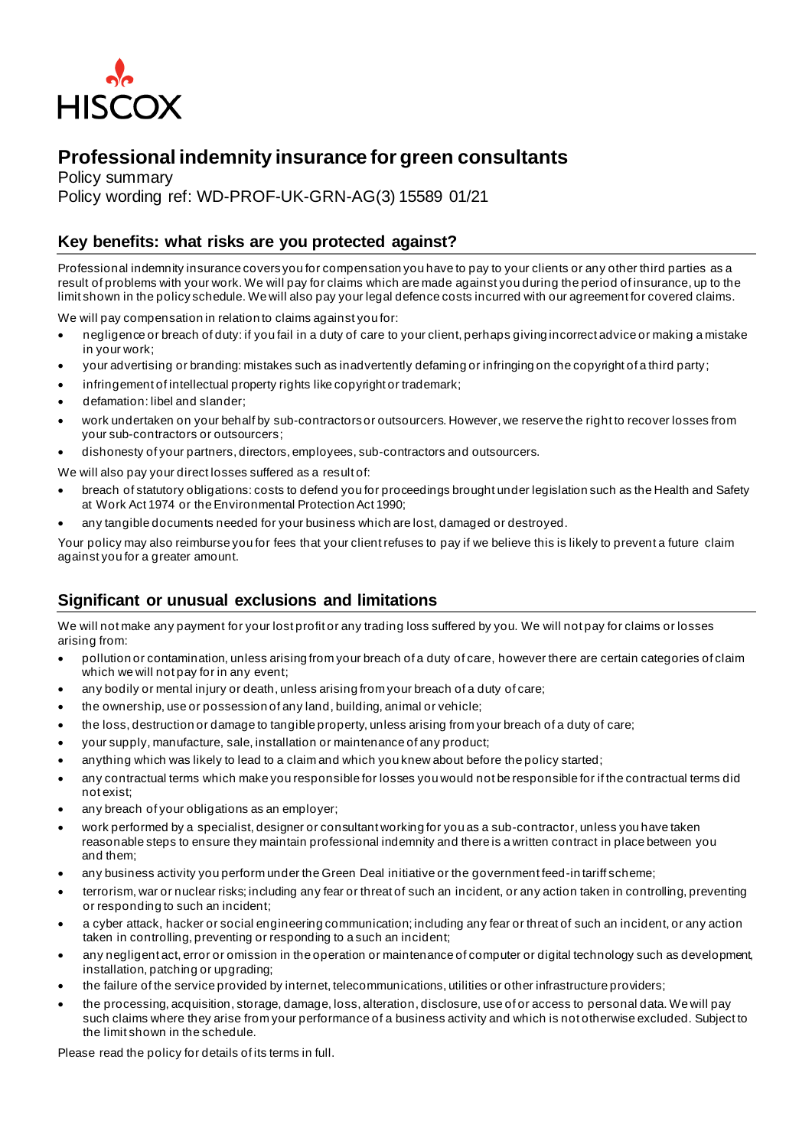

## **Professional indemnity insurance for green consultants**

Policy summary Policy wording ref: WD-PROF-UK-GRN-AG(3) 15589 01/21

## **Key benefits: what risks are you protected against?**

Professional indemnity insurance covers you for compensation you have to pay to your clients or any other third parties as a result of problems with your work. We will pay for claims which are made against you during the period of insurance, up to the limit shown in the policy schedule. We will also pay your legal defence costs incurred with our agreement for covered claims.

We will pay compensation in relation to claims against you for:

- negligence or breach of duty: if you fail in a duty of care to your client, perhaps giving incorrect advice or making a mistake in your work;
- your advertising or branding: mistakes such as inadvertently defaming or infringing on the copyright of a third party;
- infringement of intellectual property rights like copyright or trademark;
- defamation: libel and slander;
- work undertaken on your behalf by sub-contractors or outsourcers. However, we reserve the right to recover losses from your sub-contractors or outsourcers;
- dishonesty of your partners, directors, employees, sub-contractors and outsourcers.
- We will also pay your direct losses suffered as a result of:
- breach of statutory obligations: costs to defend you for proceedings brought under legislation such as the Health and Safety at Work Act 1974 or the Environmental Protection Act 1990;
- any tangible documents needed for your business which are lost, damaged or destroyed.

Your policy may also reimburse you for fees that your client refuses to pay if we believe this is likely to prevent a future claim against you for a greater amount.

## **Significant or unusual exclusions and limitations**

We will not make any payment for your lost profit or any trading loss suffered by you. We will not pay for claims or losses arising from:

- pollution or contamination, unless arising from your breach of a duty of care, however there are certain categories of claim which we will not pay for in any event;
- any bodily or mental injury or death, unless arising from your breach of a duty of care;
- the ownership, use or possession of any land, building, animal or vehicle;
- the loss, destruction or damage to tangible property, unless arising from your breach of a duty of care;
- your supply, manufacture, sale, installation or maintenance of any product;
- anything which was likely to lead to a claim and which you knew about before the policy started;
- any contractual terms which make you responsible for losses you would not be responsible for if the contractual terms did not exist;
- any breach of your obligations as an employer;
- work performed by a specialist, designer or consultant working for you as a sub-contractor, unless you have taken reasonable steps to ensure they maintain professional indemnity and there is a written contract in place between you and them;
- any business activity you perform under the Green Deal initiative or the government feed-in tariff scheme;
- terrorism, war or nuclear risks; including any fear or threat of such an incident, or any action taken in controlling, preventing or responding to such an incident;
- a cyber attack, hacker or social engineering communication; including any fear or threat of such an incident, or any action taken in controlling, preventing or responding to a such an incident;
- any negligent act, error or omission in the operation or maintenance of computer or digital technology such as development, installation, patching or upgrading;
- the failure of the service provided by internet, telecommunications, utilities or other infrastructure providers;
- the processing, acquisition, storage, damage, loss, alteration, disclosure, use of or access to personal data. We will pay such claims where they arise from your performance of a business activity and which is not otherwise excluded. Subject to the limit shown in the schedule.

Please read the policy for details of its terms in full.